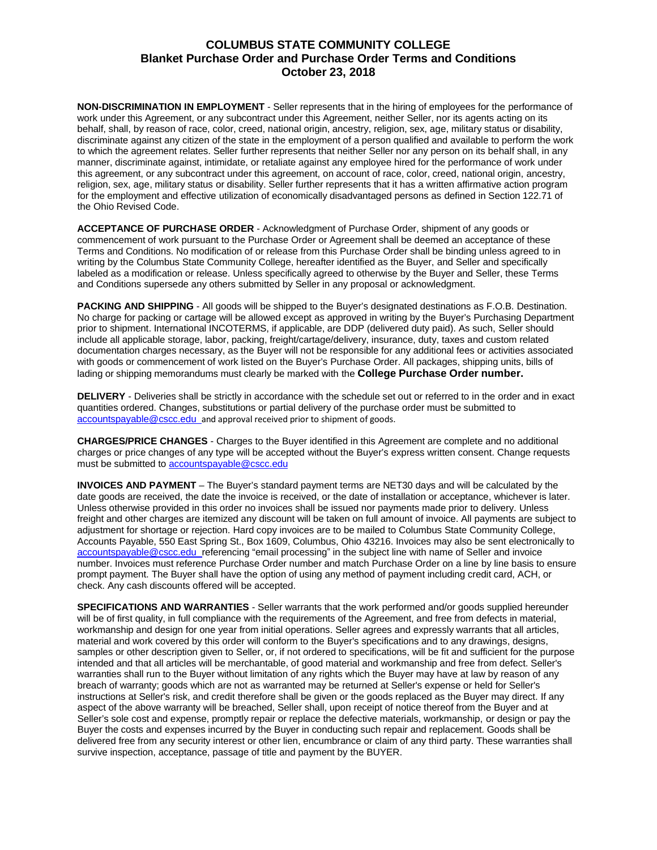## **COLUMBUS STATE COMMUNITY COLLEGE Blanket Purchase Order and Purchase Order Terms and Conditions October 23, 2018**

**NON-DISCRIMINATION IN EMPLOYMENT** - Seller represents that in the hiring of employees for the performance of work under this Agreement, or any subcontract under this Agreement, neither Seller, nor its agents acting on its behalf, shall, by reason of race, color, creed, national origin, ancestry, religion, sex, age, military status or disability, discriminate against any citizen of the state in the employment of a person qualified and available to perform the work to which the agreement relates. Seller further represents that neither Seller nor any person on its behalf shall, in any manner, discriminate against, intimidate, or retaliate against any employee hired for the performance of work under this agreement, or any subcontract under this agreement, on account of race, color, creed, national origin, ancestry, religion, sex, age, military status or disability. Seller further represents that it has a written affirmative action program for the employment and effective utilization of economically disadvantaged persons as defined in Section 122.71 of the Ohio Revised Code.

**ACCEPTANCE OF PURCHASE ORDER** - Acknowledgment of Purchase Order, shipment of any goods or commencement of work pursuant to the Purchase Order or Agreement shall be deemed an acceptance of these Terms and Conditions. No modification of or release from this Purchase Order shall be binding unless agreed to in writing by the Columbus State Community College, hereafter identified as the Buyer, and Seller and specifically labeled as a modification or release. Unless specifically agreed to otherwise by the Buyer and Seller, these Terms and Conditions supersede any others submitted by Seller in any proposal or acknowledgment.

**PACKING AND SHIPPING** - All goods will be shipped to the Buyer's designated destinations as F.O.B. Destination. No charge for packing or cartage will be allowed except as approved in writing by the Buyer's Purchasing Department prior to shipment. International INCOTERMS, if applicable, are DDP (delivered duty paid). As such, Seller should include all applicable storage, labor, packing, freight/cartage/delivery, insurance, duty, taxes and custom related documentation charges necessary, as the Buyer will not be responsible for any additional fees or activities associated with goods or commencement of work listed on the Buyer's Purchase Order. All packages, shipping units, bills of lading or shipping memorandums must clearly be marked with the **College Purchase Order number.**

**DELIVERY** - Deliveries shall be strictly in accordance with the schedule set out or referred to in the order and in exact quantities ordered. Changes, substitutions or partial delivery of the purchase order must be submitted to [accountspayable@cscc.edu](mailto:accountspayable@cscc.edu)\_and approval received prior to shipment of goods.

**CHARGES/PRICE CHANGES** - Charges to the Buyer identified in this Agreement are complete and no additional charges or price changes of any type will be accepted without the Buyer's express written consent. Change requests must be submitted to [accountspayable@cscc.edu](mailto:accountspayable@cscc.edu)

**INVOICES AND PAYMENT** – The Buyer's standard payment terms are NET30 days and will be calculated by the date goods are received, the date the invoice is received, or the date of installation or acceptance, whichever is later. Unless otherwise provided in this order no invoices shall be issued nor payments made prior to delivery. Unless freight and other charges are itemized any discount will be taken on full amount of invoice. All payments are subject to adjustment for shortage or rejection. Hard copy invoices are to be mailed to Columbus State Community College, Accounts Payable, 550 East Spring St., Box 1609, Columbus, Ohio 43216. Invoices may also be sent electronically to [accountspayable@cscc.edu](mailto:accountspayable@cscc.edu) referencing "email processing" in the subject line with name of Seller and invoice number. Invoices must reference Purchase Order number and match Purchase Order on a line by line basis to ensure prompt payment. The Buyer shall have the option of using any method of payment including credit card, ACH, or check. Any cash discounts offered will be accepted.

**SPECIFICATIONS AND WARRANTIES** - Seller warrants that the work performed and/or goods supplied hereunder will be of first quality, in full compliance with the requirements of the Agreement, and free from defects in material, workmanship and design for one year from initial operations. Seller agrees and expressly warrants that all articles, material and work covered by this order will conform to the Buyer's specifications and to any drawings, designs, samples or other description given to Seller, or, if not ordered to specifications, will be fit and sufficient for the purpose intended and that all articles will be merchantable, of good material and workmanship and free from defect. Seller's warranties shall run to the Buyer without limitation of any rights which the Buyer may have at law by reason of any breach of warranty; goods which are not as warranted may be returned at Seller's expense or held for Seller's instructions at Seller's risk, and credit therefore shall be given or the goods replaced as the Buyer may direct. If any aspect of the above warranty will be breached, Seller shall, upon receipt of notice thereof from the Buyer and at Seller's sole cost and expense, promptly repair or replace the defective materials, workmanship, or design or pay the Buyer the costs and expenses incurred by the Buyer in conducting such repair and replacement. Goods shall be delivered free from any security interest or other lien, encumbrance or claim of any third party. These warranties shall survive inspection, acceptance, passage of title and payment by the BUYER.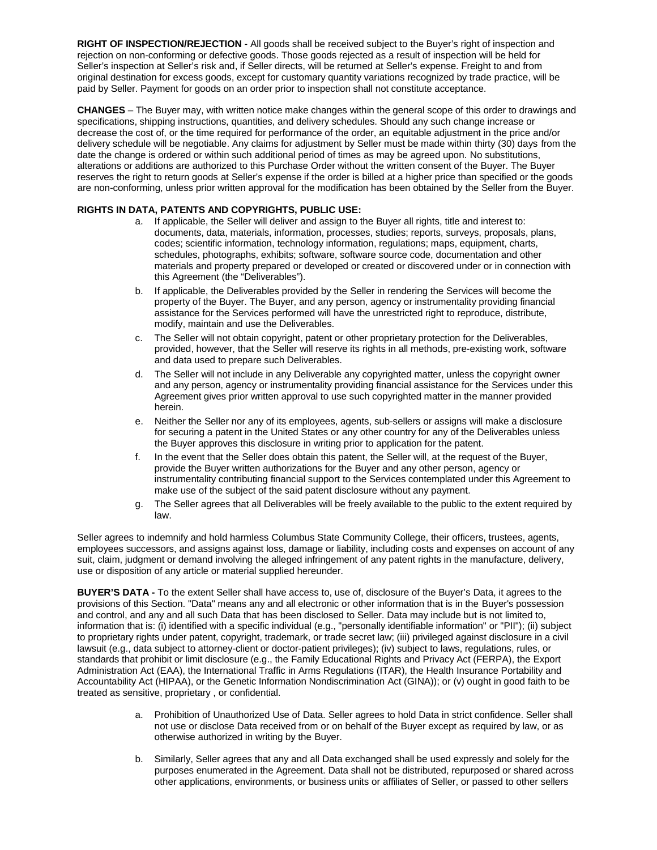**RIGHT OF INSPECTION/REJECTION** - All goods shall be received subject to the Buyer's right of inspection and rejection on non-conforming or defective goods. Those goods rejected as a result of inspection will be held for Seller's inspection at Seller's risk and, if Seller directs, will be returned at Seller's expense. Freight to and from original destination for excess goods, except for customary quantity variations recognized by trade practice, will be paid by Seller. Payment for goods on an order prior to inspection shall not constitute acceptance.

**CHANGES** – The Buyer may, with written notice make changes within the general scope of this order to drawings and specifications, shipping instructions, quantities, and delivery schedules. Should any such change increase or decrease the cost of, or the time required for performance of the order, an equitable adjustment in the price and/or delivery schedule will be negotiable. Any claims for adjustment by Seller must be made within thirty (30) days from the date the change is ordered or within such additional period of times as may be agreed upon. No substitutions, alterations or additions are authorized to this Purchase Order without the written consent of the Buyer. The Buyer reserves the right to return goods at Seller's expense if the order is billed at a higher price than specified or the goods are non-conforming, unless prior written approval for the modification has been obtained by the Seller from the Buyer.

## **RIGHTS IN DATA, PATENTS AND COPYRIGHTS, PUBLIC USE:**

- a. If applicable, the Seller will deliver and assign to the Buyer all rights, title and interest to: documents, data, materials, information, processes, studies; reports, surveys, proposals, plans, codes; scientific information, technology information, regulations; maps, equipment, charts, schedules, photographs, exhibits; software, software source code, documentation and other materials and property prepared or developed or created or discovered under or in connection with this Agreement (the "Deliverables").
- b. If applicable, the Deliverables provided by the Seller in rendering the Services will become the property of the Buyer. The Buyer, and any person, agency or instrumentality providing financial assistance for the Services performed will have the unrestricted right to reproduce, distribute, modify, maintain and use the Deliverables.
- c. The Seller will not obtain copyright, patent or other proprietary protection for the Deliverables, provided, however, that the Seller will reserve its rights in all methods, pre-existing work, software and data used to prepare such Deliverables.
- d. The Seller will not include in any Deliverable any copyrighted matter, unless the copyright owner and any person, agency or instrumentality providing financial assistance for the Services under this Agreement gives prior written approval to use such copyrighted matter in the manner provided herein.
- e. Neither the Seller nor any of its employees, agents, sub-sellers or assigns will make a disclosure for securing a patent in the United States or any other country for any of the Deliverables unless the Buyer approves this disclosure in writing prior to application for the patent.
- f. In the event that the Seller does obtain this patent, the Seller will, at the request of the Buyer, provide the Buyer written authorizations for the Buyer and any other person, agency or instrumentality contributing financial support to the Services contemplated under this Agreement to make use of the subject of the said patent disclosure without any payment.
- g. The Seller agrees that all Deliverables will be freely available to the public to the extent required by law.

Seller agrees to indemnify and hold harmless Columbus State Community College, their officers, trustees, agents, employees successors, and assigns against loss, damage or liability, including costs and expenses on account of any suit, claim, judgment or demand involving the alleged infringement of any patent rights in the manufacture, delivery, use or disposition of any article or material supplied hereunder.

**BUYER'S DATA -** To the extent Seller shall have access to, use of, disclosure of the Buyer's Data, it agrees to the provisions of this Section. "Data" means any and all electronic or other information that is in the Buyer's possession and control, and any and all such Data that has been disclosed to Seller. Data may include but is not limited to, information that is: (i) identified with a specific individual (e.g., "personally identifiable information" or "PII"); (ii) subject to proprietary rights under patent, copyright, trademark, or trade secret law; (iii) privileged against disclosure in a civil lawsuit (e.g., data subject to attorney-client or doctor-patient privileges); (iv) subject to laws, regulations, rules, or standards that prohibit or limit disclosure (e.g., the Family Educational Rights and Privacy Act (FERPA), the Export Administration Act (EAA), the International Traffic in Arms Regulations (ITAR), the Health Insurance Portability and Accountability Act (HIPAA), or the Genetic Information Nondiscrimination Act (GINA)); or (v) ought in good faith to be treated as sensitive, proprietary , or confidential.

- a. Prohibition of Unauthorized Use of Data. Seller agrees to hold Data in strict confidence. Seller shall not use or disclose Data received from or on behalf of the Buyer except as required by law, or as otherwise authorized in writing by the Buyer.
- b. Similarly, Seller agrees that any and all Data exchanged shall be used expressly and solely for the purposes enumerated in the Agreement. Data shall not be distributed, repurposed or shared across other applications, environments, or business units or affiliates of Seller, or passed to other sellers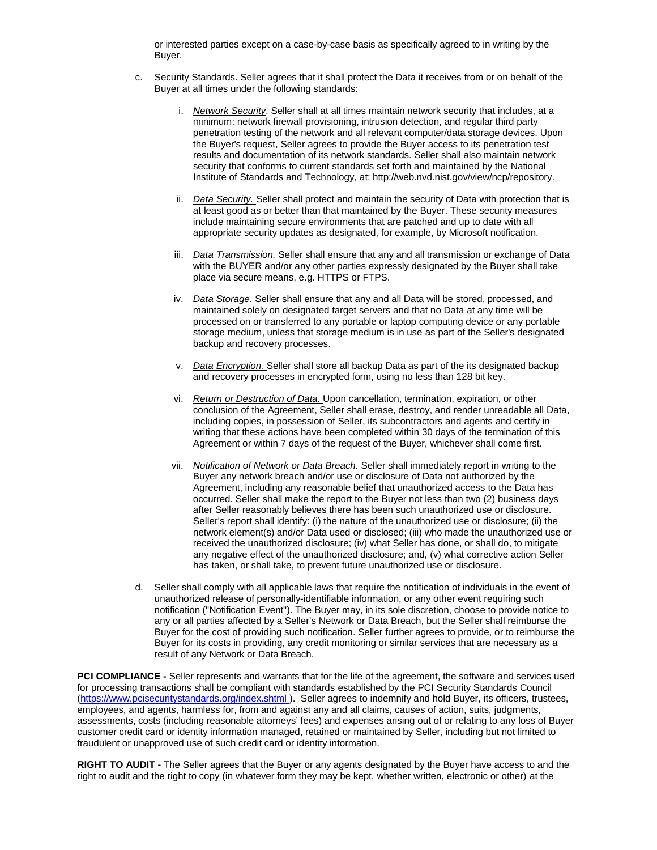or interested parties except on a case-by-case basis as specifically agreed to in writing by the Buyer.

- c. Security Standards. Seller agrees that it shall protect the Data it receives from or on behalf of the Buyer at all times under the following standards:
	- i. *Network Security*. Seller shall at all times maintain network security that includes, at a minimum: network firewall provisioning, intrusion detection, and regular third party penetration testing of the network and all relevant computer/data storage devices. Upon the Buyer's request, Seller agrees to provide the Buyer access to its penetration test results and documentation of its network standards. Seller shall also maintain network security that conforms to current standards set forth and maintained by the National Institute of Standards and Technology, at: [http://web.nvd.nist.gov/view/ncp/repository.](http://web.nvd.nist.gov/view/ncp/repository)
	- ii. *Data Security.* Seller shall protect and maintain the security of Data with protection that is at least good as or better than that maintained by the Buyer. These security measures include maintaining secure environments that are patched and up to date with all appropriate security updates as designated, for example, by Microsoft notification.
	- iii. *Data Transmission.* Seller shall ensure that any and all transmission or exchange of Data with the BUYER and/or any other parties expressly designated by the Buyer shall take place via secure means, e.g. HTTPS or FTPS.
	- iv. *Data Storage.* Seller shall ensure that any and all Data will be stored, processed, and maintained solely on designated target servers and that no Data at any time will be processed on or transferred to any portable or laptop computing device or any portable storage medium, unless that storage medium is in use as part of the Seller's designated backup and recovery processes.
	- v. *Data Encryption.* Seller shall store all backup Data as part of the its designated backup and recovery processes in encrypted form, using no less than 128 bit key.
	- vi. *Return or Destruction of Data.* Upon cancellation, termination, expiration, or other conclusion of the Agreement, Seller shall erase, destroy, and render unreadable all Data, including copies, in possession of Seller, its subcontractors and agents and certify in writing that these actions have been completed within 30 days of the termination of this Agreement or within 7 days of the request of the Buyer, whichever shall come first.
	- vii. *Notification of Network or Data Breach.* Seller shall immediately report in writing to the Buyer any network breach and/or use or disclosure of Data not authorized by the Agreement, including any reasonable belief that unauthorized access to the Data has occurred. Seller shall make the report to the Buyer not less than two (2) business days after Seller reasonably believes there has been such unauthorized use or disclosure. Seller's report shall identify: (i) the nature of the unauthorized use or disclosure; (ii) the network element(s) and/or Data used or disclosed; (iii) who made the unauthorized use or received the unauthorized disclosure; (iv) what Seller has done, or shall do, to mitigate any negative effect of the unauthorized disclosure; and, (v) what corrective action Seller has taken, or shall take, to prevent future unauthorized use or disclosure.
- d. Seller shall comply with all applicable laws that require the notification of individuals in the event of unauthorized release of personally-identifiable information, or any other event requiring such notification ("Notification Event"). The Buyer may, in its sole discretion, choose to provide notice to any or all parties affected by a Seller's Network or Data Breach, but the Seller shall reimburse the Buyer for the cost of providing such notification. Seller further agrees to provide, or to reimburse the Buyer for its costs in providing, any credit monitoring or similar services that are necessary as a result of any Network or Data Breach.

**PCI COMPLIANCE** - Seller represents and warrants that for the life of the agreement, the software and services used for processing transactions shall be compliant with standards established by the PCI Security Standards Counc[il](https://www.pcisecuritystandards.org/index.shtml) [\(https://www.pcisecuritystandards.org/index.shtml](https://www.pcisecuritystandards.org/index.shtml) ). Seller agrees to indemnify and hold Buyer, its officers, trustees, employees, and agents, harmless for, from and against any and all claims, causes of action, suits, judgments, assessments, costs (including reasonable attorneys' fees) and expenses arising out of or relating to any loss of Buyer customer credit card or identity information managed, retained or maintained by Seller, including but not limited to fraudulent or unapproved use of such credit card or identity information.

**RIGHT TO AUDIT -** The Seller agrees that the Buyer or any agents designated by the Buyer have access to and the right to audit and the right to copy (in whatever form they may be kept, whether written, electronic or other) at the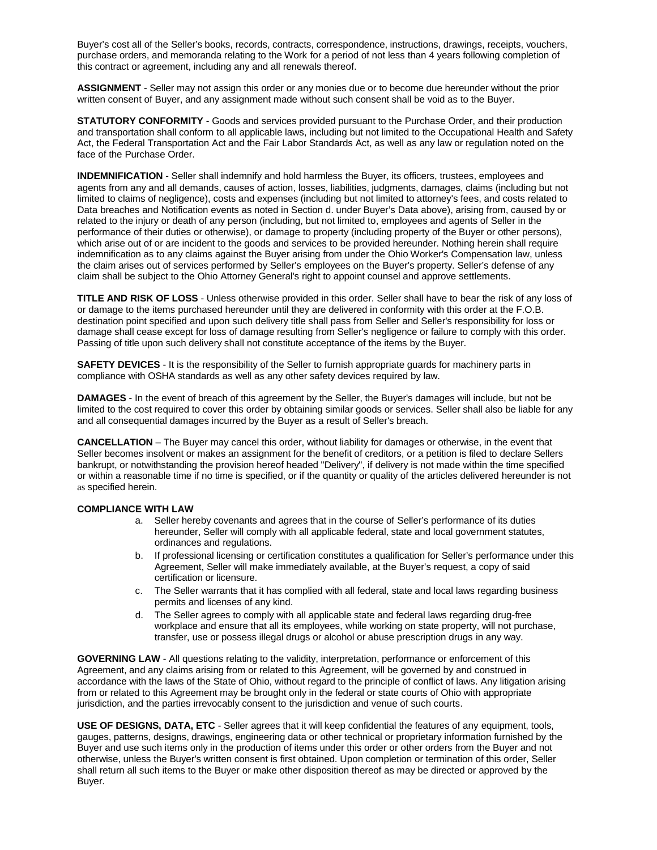Buyer's cost all of the Seller's books, records, contracts, correspondence, instructions, drawings, receipts, vouchers, purchase orders, and memoranda relating to the Work for a period of not less than 4 years following completion of this contract or agreement, including any and all renewals thereof.

**ASSIGNMENT** - Seller may not assign this order or any monies due or to become due hereunder without the prior written consent of Buyer, and any assignment made without such consent shall be void as to the Buyer.

**STATUTORY CONFORMITY** - Goods and services provided pursuant to the Purchase Order, and their production and transportation shall conform to all applicable laws, including but not limited to the Occupational Health and Safety Act, the Federal Transportation Act and the Fair Labor Standards Act, as well as any law or regulation noted on the face of the Purchase Order.

**INDEMNIFICATION** - Seller shall indemnify and hold harmless the Buyer, its officers, trustees, employees and agents from any and all demands, causes of action, losses, liabilities, judgments, damages, claims (including but not limited to claims of negligence), costs and expenses (including but not limited to attorney's fees, and costs related to Data breaches and Notification events as noted in Section d. under Buyer's Data above), arising from, caused by or related to the injury or death of any person (including, but not limited to, employees and agents of Seller in the performance of their duties or otherwise), or damage to property (including property of the Buyer or other persons), which arise out of or are incident to the goods and services to be provided hereunder. Nothing herein shall require indemnification as to any claims against the Buyer arising from under the Ohio Worker's Compensation law, unless the claim arises out of services performed by Seller's employees on the Buyer's property. Seller's defense of any claim shall be subject to the Ohio Attorney General's right to appoint counsel and approve settlements.

**TITLE AND RISK OF LOSS** - Unless otherwise provided in this order. Seller shall have to bear the risk of any loss of or damage to the items purchased hereunder until they are delivered in conformity with this order at the F.O.B. destination point specified and upon such delivery title shall pass from Seller and Seller's responsibility for loss or damage shall cease except for loss of damage resulting from Seller's negligence or failure to comply with this order. Passing of title upon such delivery shall not constitute acceptance of the items by the Buyer.

**SAFETY DEVICES** - It is the responsibility of the Seller to furnish appropriate guards for machinery parts in compliance with OSHA standards as well as any other safety devices required by law.

**DAMAGES** - In the event of breach of this agreement by the Seller, the Buyer's damages will include, but not be limited to the cost required to cover this order by obtaining similar goods or services. Seller shall also be liable for any and all consequential damages incurred by the Buyer as a result of Seller's breach.

**CANCELLATION** – The Buyer may cancel this order, without liability for damages or otherwise, in the event that Seller becomes insolvent or makes an assignment for the benefit of creditors, or a petition is filed to declare Sellers bankrupt, or notwithstanding the provision hereof headed "Delivery", if delivery is not made within the time specified or within a reasonable time if no time is specified, or if the quantity or quality of the articles delivered hereunder is not as specified herein.

## **COMPLIANCE WITH LAW**

- a. Seller hereby covenants and agrees that in the course of Seller's performance of its duties hereunder, Seller will comply with all applicable federal, state and local government statutes, ordinances and regulations.
- b. If professional licensing or certification constitutes a qualification for Seller's performance under this Agreement, Seller will make immediately available, at the Buyer's request, a copy of said certification or licensure.
- c. The Seller warrants that it has complied with all federal, state and local laws regarding business permits and licenses of any kind.
- d. The Seller agrees to comply with all applicable state and federal laws regarding drug-free workplace and ensure that all its employees, while working on state property, will not purchase, transfer, use or possess illegal drugs or alcohol or abuse prescription drugs in any way.

**GOVERNING LAW** - All questions relating to the validity, interpretation, performance or enforcement of this Agreement, and any claims arising from or related to this Agreement, will be governed by and construed in accordance with the laws of the State of Ohio, without regard to the principle of conflict of laws. Any litigation arising from or related to this Agreement may be brought only in the federal or state courts of Ohio with appropriate jurisdiction, and the parties irrevocably consent to the jurisdiction and venue of such courts.

**USE OF DESIGNS, DATA, ETC** - Seller agrees that it will keep confidential the features of any equipment, tools, gauges, patterns, designs, drawings, engineering data or other technical or proprietary information furnished by the Buyer and use such items only in the production of items under this order or other orders from the Buyer and not otherwise, unless the Buyer's written consent is first obtained. Upon completion or termination of this order, Seller shall return all such items to the Buyer or make other disposition thereof as may be directed or approved by the Buyer.